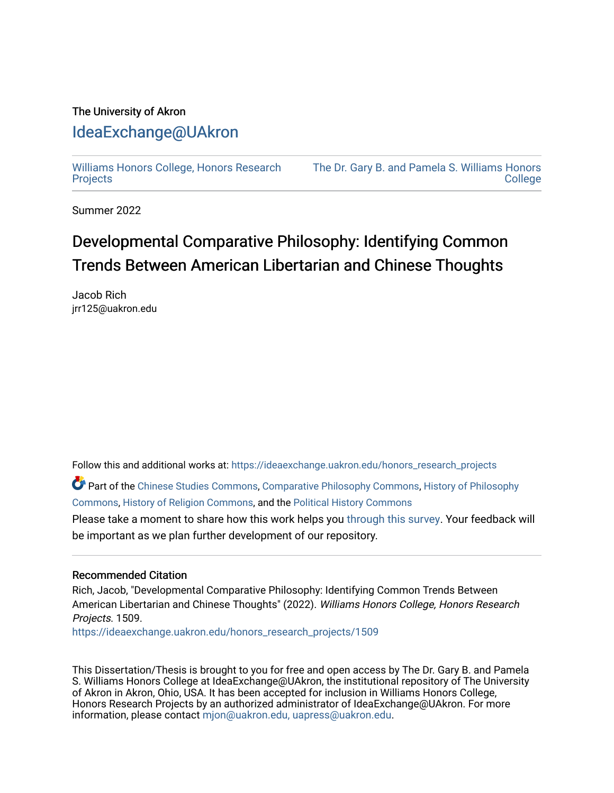## The University of Akron [IdeaExchange@UAkron](https://ideaexchange.uakron.edu/)

[Williams Honors College, Honors Research](https://ideaexchange.uakron.edu/honors_research_projects)  **[Projects](https://ideaexchange.uakron.edu/honors_research_projects)** 

[The Dr. Gary B. and Pamela S. Williams Honors](https://ideaexchange.uakron.edu/honorscollege_ideas)  **College** 

Summer 2022

# Developmental Comparative Philosophy: Identifying Common Trends Between American Libertarian and Chinese Thoughts

Jacob Rich jrr125@uakron.edu

Follow this and additional works at: [https://ideaexchange.uakron.edu/honors\\_research\\_projects](https://ideaexchange.uakron.edu/honors_research_projects?utm_source=ideaexchange.uakron.edu%2Fhonors_research_projects%2F1509&utm_medium=PDF&utm_campaign=PDFCoverPages) 

Part of the [Chinese Studies Commons](http://network.bepress.com/hgg/discipline/1081?utm_source=ideaexchange.uakron.edu%2Fhonors_research_projects%2F1509&utm_medium=PDF&utm_campaign=PDFCoverPages), [Comparative Philosophy Commons](http://network.bepress.com/hgg/discipline/1343?utm_source=ideaexchange.uakron.edu%2Fhonors_research_projects%2F1509&utm_medium=PDF&utm_campaign=PDFCoverPages), [History of Philosophy](http://network.bepress.com/hgg/discipline/531?utm_source=ideaexchange.uakron.edu%2Fhonors_research_projects%2F1509&utm_medium=PDF&utm_campaign=PDFCoverPages)  [Commons](http://network.bepress.com/hgg/discipline/531?utm_source=ideaexchange.uakron.edu%2Fhonors_research_projects%2F1509&utm_medium=PDF&utm_campaign=PDFCoverPages), [History of Religion Commons,](http://network.bepress.com/hgg/discipline/499?utm_source=ideaexchange.uakron.edu%2Fhonors_research_projects%2F1509&utm_medium=PDF&utm_campaign=PDFCoverPages) and the [Political History Commons](http://network.bepress.com/hgg/discipline/505?utm_source=ideaexchange.uakron.edu%2Fhonors_research_projects%2F1509&utm_medium=PDF&utm_campaign=PDFCoverPages)

Please take a moment to share how this work helps you [through this survey](http://survey.az1.qualtrics.com/SE/?SID=SV_eEVH54oiCbOw05f&URL=https://ideaexchange.uakron.edu/honors_research_projects/1509). Your feedback will be important as we plan further development of our repository.

#### Recommended Citation

Rich, Jacob, "Developmental Comparative Philosophy: Identifying Common Trends Between American Libertarian and Chinese Thoughts" (2022). Williams Honors College, Honors Research Projects. 1509.

[https://ideaexchange.uakron.edu/honors\\_research\\_projects/1509](https://ideaexchange.uakron.edu/honors_research_projects/1509?utm_source=ideaexchange.uakron.edu%2Fhonors_research_projects%2F1509&utm_medium=PDF&utm_campaign=PDFCoverPages) 

This Dissertation/Thesis is brought to you for free and open access by The Dr. Gary B. and Pamela S. Williams Honors College at IdeaExchange@UAkron, the institutional repository of The University of Akron in Akron, Ohio, USA. It has been accepted for inclusion in Williams Honors College, Honors Research Projects by an authorized administrator of IdeaExchange@UAkron. For more information, please contact [mjon@uakron.edu, uapress@uakron.edu.](mailto:mjon@uakron.edu,%20uapress@uakron.edu)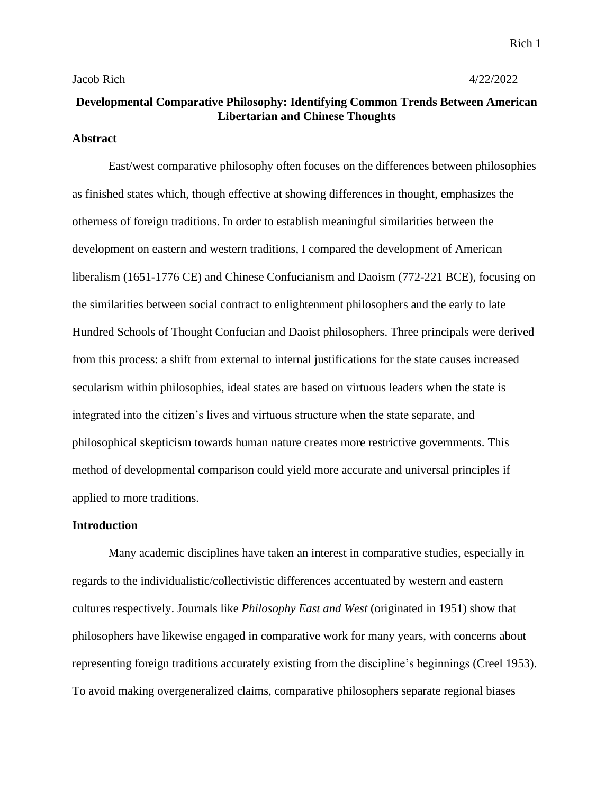### **Developmental Comparative Philosophy: Identifying Common Trends Between American Libertarian and Chinese Thoughts**

#### **Abstract**

East/west comparative philosophy often focuses on the differences between philosophies as finished states which, though effective at showing differences in thought, emphasizes the otherness of foreign traditions. In order to establish meaningful similarities between the development on eastern and western traditions, I compared the development of American liberalism (1651-1776 CE) and Chinese Confucianism and Daoism (772-221 BCE), focusing on the similarities between social contract to enlightenment philosophers and the early to late Hundred Schools of Thought Confucian and Daoist philosophers. Three principals were derived from this process: a shift from external to internal justifications for the state causes increased secularism within philosophies, ideal states are based on virtuous leaders when the state is integrated into the citizen's lives and virtuous structure when the state separate, and philosophical skepticism towards human nature creates more restrictive governments. This method of developmental comparison could yield more accurate and universal principles if applied to more traditions.

#### **Introduction**

Many academic disciplines have taken an interest in comparative studies, especially in regards to the individualistic/collectivistic differences accentuated by western and eastern cultures respectively. Journals like *Philosophy East and West* (originated in 1951) show that philosophers have likewise engaged in comparative work for many years, with concerns about representing foreign traditions accurately existing from the discipline's beginnings (Creel 1953). To avoid making overgeneralized claims, comparative philosophers separate regional biases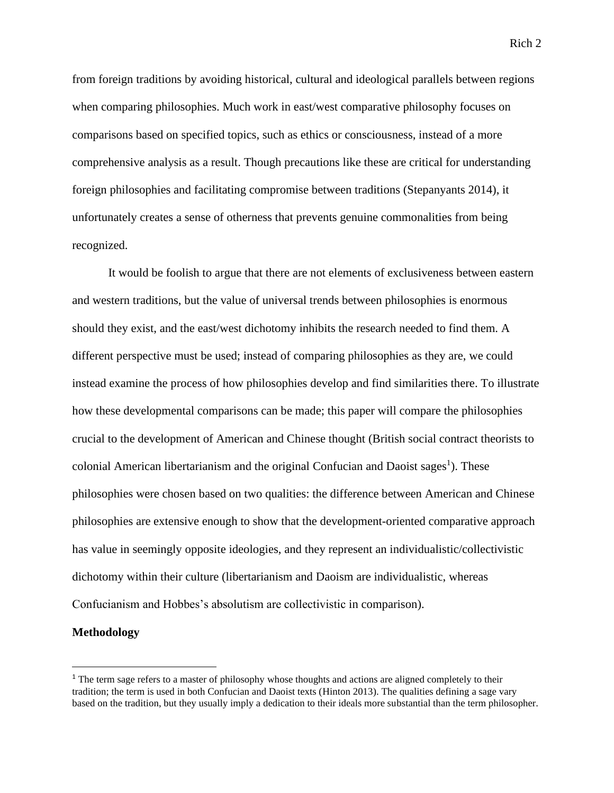from foreign traditions by avoiding historical, cultural and ideological parallels between regions when comparing philosophies. Much work in east/west comparative philosophy focuses on comparisons based on specified topics, such as ethics or consciousness, instead of a more comprehensive analysis as a result. Though precautions like these are critical for understanding foreign philosophies and facilitating compromise between traditions (Stepanyants 2014), it unfortunately creates a sense of otherness that prevents genuine commonalities from being recognized.

It would be foolish to argue that there are not elements of exclusiveness between eastern and western traditions, but the value of universal trends between philosophies is enormous should they exist, and the east/west dichotomy inhibits the research needed to find them. A different perspective must be used; instead of comparing philosophies as they are, we could instead examine the process of how philosophies develop and find similarities there. To illustrate how these developmental comparisons can be made; this paper will compare the philosophies crucial to the development of American and Chinese thought (British social contract theorists to colonial American libertarianism and the original Confucian and Daoist sages<sup>1</sup>). These philosophies were chosen based on two qualities: the difference between American and Chinese philosophies are extensive enough to show that the development-oriented comparative approach has value in seemingly opposite ideologies, and they represent an individualistic/collectivistic dichotomy within their culture (libertarianism and Daoism are individualistic, whereas Confucianism and Hobbes's absolutism are collectivistic in comparison).

#### **Methodology**

<sup>&</sup>lt;sup>1</sup> The term sage refers to a master of philosophy whose thoughts and actions are aligned completely to their tradition; the term is used in both Confucian and Daoist texts (Hinton 2013). The qualities defining a sage vary based on the tradition, but they usually imply a dedication to their ideals more substantial than the term philosopher.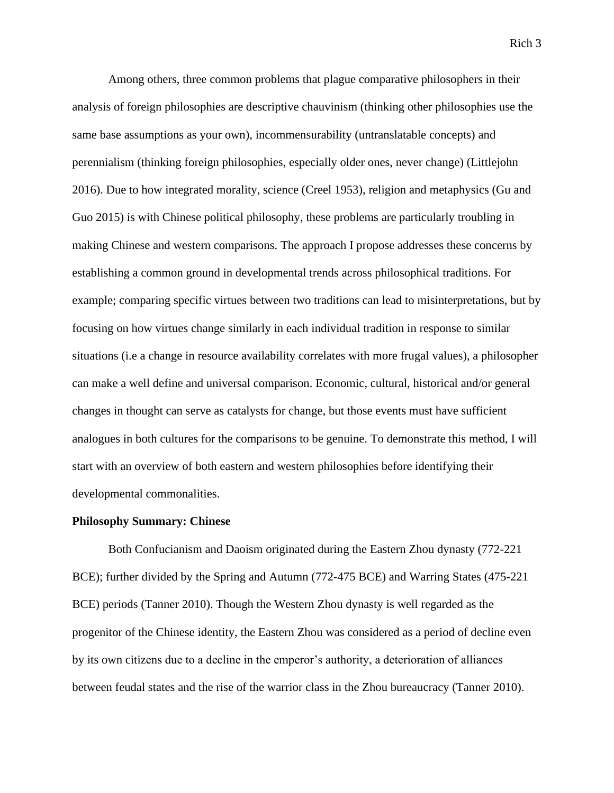Among others, three common problems that plague comparative philosophers in their analysis of foreign philosophies are descriptive chauvinism (thinking other philosophies use the same base assumptions as your own), incommensurability (untranslatable concepts) and perennialism (thinking foreign philosophies, especially older ones, never change) (Littlejohn 2016). Due to how integrated morality, science (Creel 1953), religion and metaphysics (Gu and Guo 2015) is with Chinese political philosophy, these problems are particularly troubling in making Chinese and western comparisons. The approach I propose addresses these concerns by establishing a common ground in developmental trends across philosophical traditions. For example; comparing specific virtues between two traditions can lead to misinterpretations, but by focusing on how virtues change similarly in each individual tradition in response to similar situations (i.e a change in resource availability correlates with more frugal values), a philosopher can make a well define and universal comparison. Economic, cultural, historical and/or general changes in thought can serve as catalysts for change, but those events must have sufficient analogues in both cultures for the comparisons to be genuine. To demonstrate this method, I will start with an overview of both eastern and western philosophies before identifying their developmental commonalities.

#### **Philosophy Summary: Chinese**

Both Confucianism and Daoism originated during the Eastern Zhou dynasty (772-221 BCE); further divided by the Spring and Autumn (772-475 BCE) and Warring States (475-221 BCE) periods (Tanner 2010). Though the Western Zhou dynasty is well regarded as the progenitor of the Chinese identity, the Eastern Zhou was considered as a period of decline even by its own citizens due to a decline in the emperor's authority, a deterioration of alliances between feudal states and the rise of the warrior class in the Zhou bureaucracy (Tanner 2010).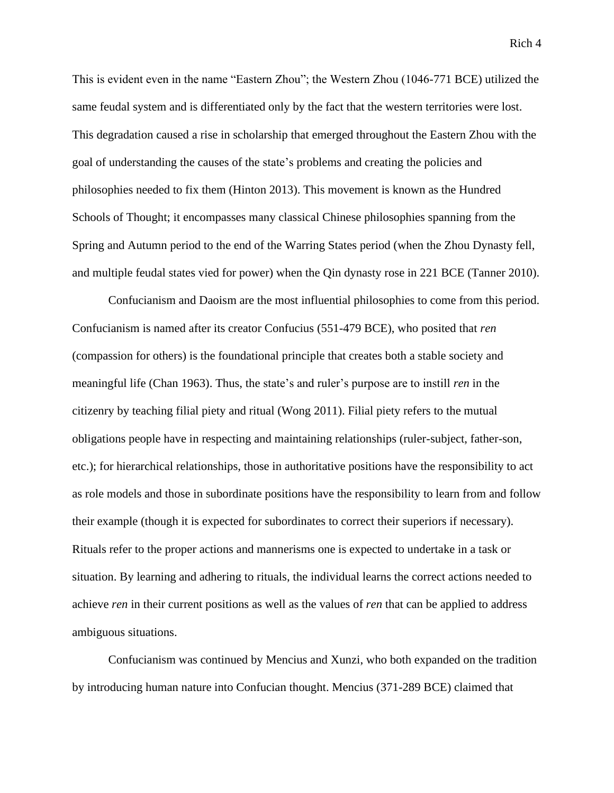This is evident even in the name "Eastern Zhou"; the Western Zhou (1046-771 BCE) utilized the same feudal system and is differentiated only by the fact that the western territories were lost. This degradation caused a rise in scholarship that emerged throughout the Eastern Zhou with the goal of understanding the causes of the state's problems and creating the policies and philosophies needed to fix them (Hinton 2013). This movement is known as the Hundred Schools of Thought; it encompasses many classical Chinese philosophies spanning from the Spring and Autumn period to the end of the Warring States period (when the Zhou Dynasty fell, and multiple feudal states vied for power) when the Qin dynasty rose in 221 BCE (Tanner 2010).

Confucianism and Daoism are the most influential philosophies to come from this period. Confucianism is named after its creator Confucius (551-479 BCE), who posited that *ren* (compassion for others) is the foundational principle that creates both a stable society and meaningful life (Chan 1963). Thus, the state's and ruler's purpose are to instill *ren* in the citizenry by teaching filial piety and ritual (Wong 2011). Filial piety refers to the mutual obligations people have in respecting and maintaining relationships (ruler-subject, father-son, etc.); for hierarchical relationships, those in authoritative positions have the responsibility to act as role models and those in subordinate positions have the responsibility to learn from and follow their example (though it is expected for subordinates to correct their superiors if necessary). Rituals refer to the proper actions and mannerisms one is expected to undertake in a task or situation. By learning and adhering to rituals, the individual learns the correct actions needed to achieve *ren* in their current positions as well as the values of *ren* that can be applied to address ambiguous situations.

Confucianism was continued by Mencius and Xunzi, who both expanded on the tradition by introducing human nature into Confucian thought. Mencius (371-289 BCE) claimed that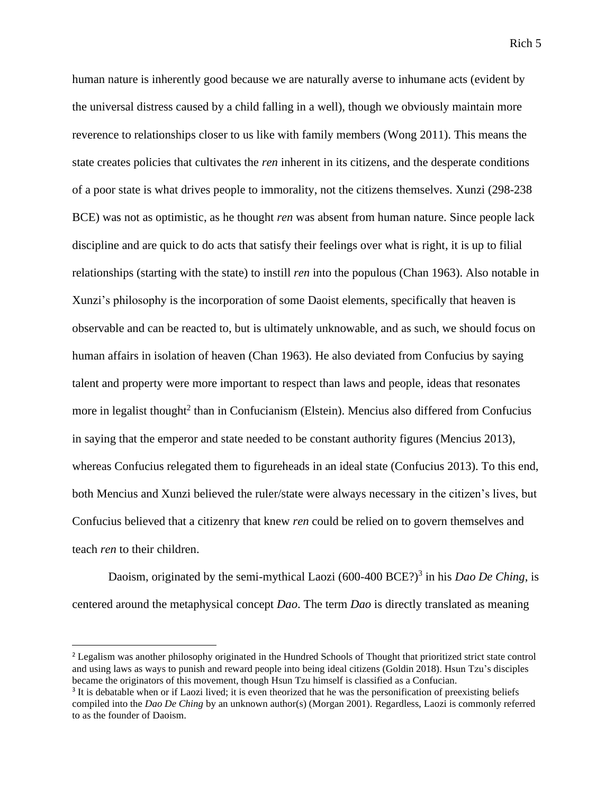human nature is inherently good because we are naturally averse to inhumane acts (evident by the universal distress caused by a child falling in a well), though we obviously maintain more reverence to relationships closer to us like with family members (Wong 2011). This means the state creates policies that cultivates the *ren* inherent in its citizens, and the desperate conditions of a poor state is what drives people to immorality, not the citizens themselves. Xunzi (298-238 BCE) was not as optimistic, as he thought *ren* was absent from human nature. Since people lack discipline and are quick to do acts that satisfy their feelings over what is right, it is up to filial relationships (starting with the state) to instill *ren* into the populous (Chan 1963). Also notable in Xunzi's philosophy is the incorporation of some Daoist elements, specifically that heaven is observable and can be reacted to, but is ultimately unknowable, and as such, we should focus on human affairs in isolation of heaven (Chan 1963). He also deviated from Confucius by saying talent and property were more important to respect than laws and people, ideas that resonates more in legalist thought<sup>2</sup> than in Confucianism (Elstein). Mencius also differed from Confucius in saying that the emperor and state needed to be constant authority figures (Mencius 2013), whereas Confucius relegated them to figureheads in an ideal state (Confucius 2013). To this end, both Mencius and Xunzi believed the ruler/state were always necessary in the citizen's lives, but Confucius believed that a citizenry that knew *ren* could be relied on to govern themselves and teach *ren* to their children.

Daoism, originated by the semi-mythical Laozi (600-400 BCE?)<sup>3</sup> in his *Dao De Ching*, is centered around the metaphysical concept *Dao*. The term *Dao* is directly translated as meaning

<sup>&</sup>lt;sup>2</sup> Legalism was another philosophy originated in the Hundred Schools of Thought that prioritized strict state control and using laws as ways to punish and reward people into being ideal citizens (Goldin 2018). Hsun Tzu's disciples became the originators of this movement, though Hsun Tzu himself is classified as a Confucian.

<sup>&</sup>lt;sup>3</sup> It is debatable when or if Laozi lived; it is even theorized that he was the personification of preexisting beliefs compiled into the *Dao De Ching* by an unknown author(s) (Morgan 2001). Regardless, Laozi is commonly referred to as the founder of Daoism.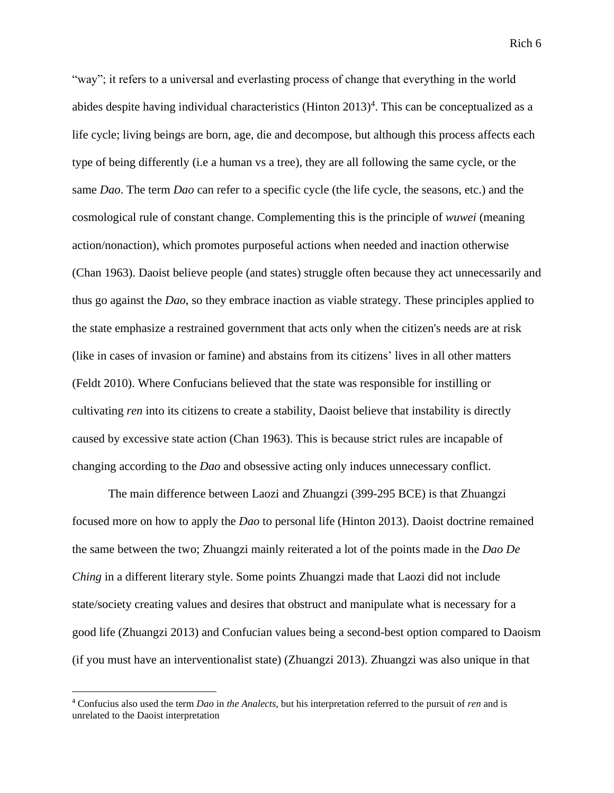"way"; it refers to a universal and everlasting process of change that everything in the world abides despite having individual characteristics (Hinton  $2013)^4$ . This can be conceptualized as a life cycle; living beings are born, age, die and decompose, but although this process affects each type of being differently (i.e a human vs a tree), they are all following the same cycle, or the same *Dao*. The term *Dao* can refer to a specific cycle (the life cycle, the seasons, etc.) and the cosmological rule of constant change. Complementing this is the principle of *wuwei* (meaning action/nonaction), which promotes purposeful actions when needed and inaction otherwise (Chan 1963). Daoist believe people (and states) struggle often because they act unnecessarily and thus go against the *Dao*, so they embrace inaction as viable strategy. These principles applied to the state emphasize a restrained government that acts only when the citizen's needs are at risk (like in cases of invasion or famine) and abstains from its citizens' lives in all other matters (Feldt 2010). Where Confucians believed that the state was responsible for instilling or cultivating *ren* into its citizens to create a stability, Daoist believe that instability is directly caused by excessive state action (Chan 1963). This is because strict rules are incapable of changing according to the *Dao* and obsessive acting only induces unnecessary conflict.

The main difference between Laozi and Zhuangzi (399-295 BCE) is that Zhuangzi focused more on how to apply the *Dao* to personal life (Hinton 2013). Daoist doctrine remained the same between the two; Zhuangzi mainly reiterated a lot of the points made in the *Dao De Ching* in a different literary style. Some points Zhuangzi made that Laozi did not include state/society creating values and desires that obstruct and manipulate what is necessary for a good life (Zhuangzi 2013) and Confucian values being a second-best option compared to Daoism (if you must have an interventionalist state) (Zhuangzi 2013). Zhuangzi was also unique in that

<sup>4</sup> Confucius also used the term *Dao* in *the Analects*, but his interpretation referred to the pursuit of *ren* and is unrelated to the Daoist interpretation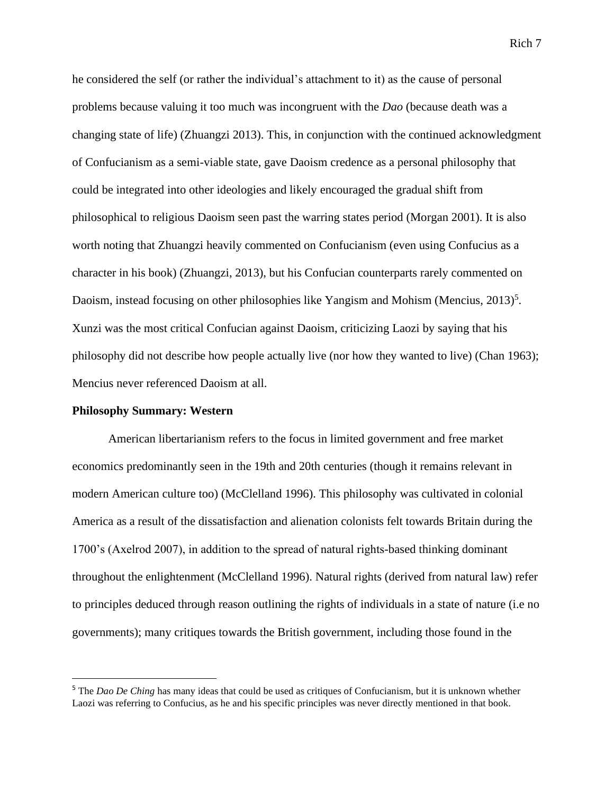he considered the self (or rather the individual's attachment to it) as the cause of personal problems because valuing it too much was incongruent with the *Dao* (because death was a changing state of life) (Zhuangzi 2013). This, in conjunction with the continued acknowledgment of Confucianism as a semi-viable state, gave Daoism credence as a personal philosophy that could be integrated into other ideologies and likely encouraged the gradual shift from philosophical to religious Daoism seen past the warring states period (Morgan 2001). It is also worth noting that Zhuangzi heavily commented on Confucianism (even using Confucius as a character in his book) (Zhuangzi, 2013), but his Confucian counterparts rarely commented on Daoism, instead focusing on other philosophies like Yangism and Mohism (Mencius,  $2013$ )<sup>5</sup>. Xunzi was the most critical Confucian against Daoism, criticizing Laozi by saying that his philosophy did not describe how people actually live (nor how they wanted to live) (Chan 1963); Mencius never referenced Daoism at all.

#### **Philosophy Summary: Western**

American libertarianism refers to the focus in limited government and free market economics predominantly seen in the 19th and 20th centuries (though it remains relevant in modern American culture too) (McClelland 1996). This philosophy was cultivated in colonial America as a result of the dissatisfaction and alienation colonists felt towards Britain during the 1700's (Axelrod 2007), in addition to the spread of natural rights-based thinking dominant throughout the enlightenment (McClelland 1996). Natural rights (derived from natural law) refer to principles deduced through reason outlining the rights of individuals in a state of nature (i.e no governments); many critiques towards the British government, including those found in the

<sup>&</sup>lt;sup>5</sup> The *Dao De Ching* has many ideas that could be used as critiques of Confucianism, but it is unknown whether Laozi was referring to Confucius, as he and his specific principles was never directly mentioned in that book.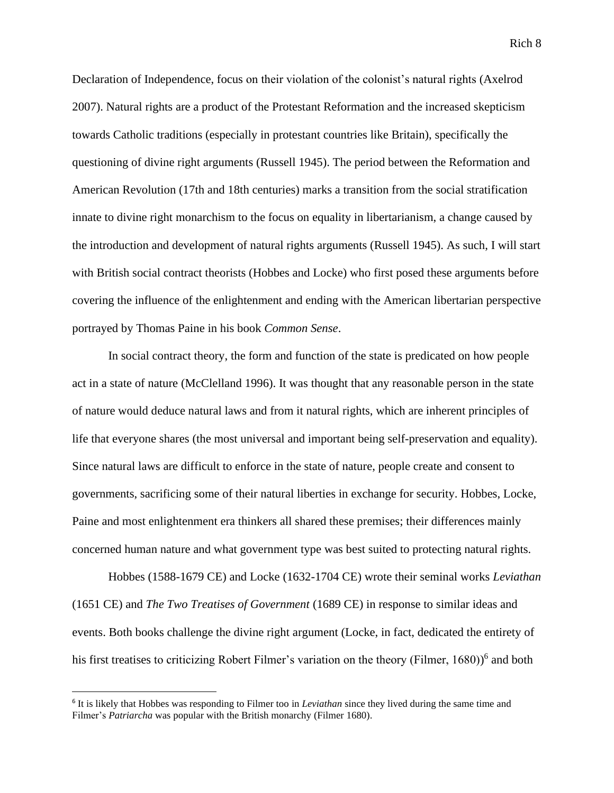Declaration of Independence, focus on their violation of the colonist's natural rights (Axelrod 2007). Natural rights are a product of the Protestant Reformation and the increased skepticism towards Catholic traditions (especially in protestant countries like Britain), specifically the questioning of divine right arguments (Russell 1945). The period between the Reformation and American Revolution (17th and 18th centuries) marks a transition from the social stratification innate to divine right monarchism to the focus on equality in libertarianism, a change caused by the introduction and development of natural rights arguments (Russell 1945). As such, I will start with British social contract theorists (Hobbes and Locke) who first posed these arguments before covering the influence of the enlightenment and ending with the American libertarian perspective portrayed by Thomas Paine in his book *Common Sense*.

In social contract theory, the form and function of the state is predicated on how people act in a state of nature (McClelland 1996). It was thought that any reasonable person in the state of nature would deduce natural laws and from it natural rights, which are inherent principles of life that everyone shares (the most universal and important being self-preservation and equality). Since natural laws are difficult to enforce in the state of nature, people create and consent to governments, sacrificing some of their natural liberties in exchange for security. Hobbes, Locke, Paine and most enlightenment era thinkers all shared these premises; their differences mainly concerned human nature and what government type was best suited to protecting natural rights.

Hobbes (1588-1679 CE) and Locke (1632-1704 CE) wrote their seminal works *Leviathan* (1651 CE) and *The Two Treatises of Government* (1689 CE) in response to similar ideas and events. Both books challenge the divine right argument (Locke, in fact, dedicated the entirety of his first treatises to criticizing Robert Filmer's variation on the theory (Filmer, 1680))<sup>6</sup> and both

<sup>6</sup> It is likely that Hobbes was responding to Filmer too in *Leviathan* since they lived during the same time and Filmer's *Patriarcha* was popular with the British monarchy (Filmer 1680).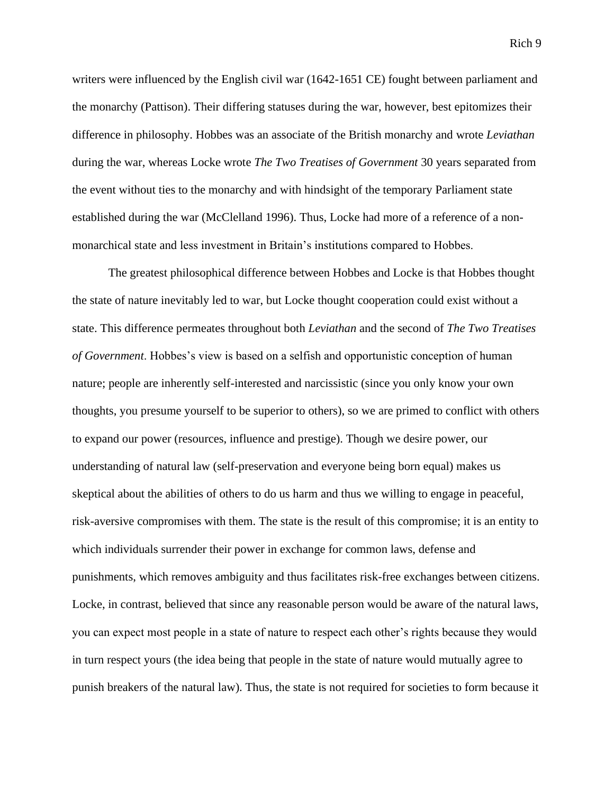writers were influenced by the English civil war (1642-1651 CE) fought between parliament and the monarchy (Pattison). Their differing statuses during the war, however, best epitomizes their difference in philosophy. Hobbes was an associate of the British monarchy and wrote *Leviathan* during the war, whereas Locke wrote *The Two Treatises of Government* 30 years separated from the event without ties to the monarchy and with hindsight of the temporary Parliament state established during the war (McClelland 1996). Thus, Locke had more of a reference of a nonmonarchical state and less investment in Britain's institutions compared to Hobbes.

The greatest philosophical difference between Hobbes and Locke is that Hobbes thought the state of nature inevitably led to war, but Locke thought cooperation could exist without a state. This difference permeates throughout both *Leviathan* and the second of *The Two Treatises of Government*. Hobbes's view is based on a selfish and opportunistic conception of human nature; people are inherently self-interested and narcissistic (since you only know your own thoughts, you presume yourself to be superior to others), so we are primed to conflict with others to expand our power (resources, influence and prestige). Though we desire power, our understanding of natural law (self-preservation and everyone being born equal) makes us skeptical about the abilities of others to do us harm and thus we willing to engage in peaceful, risk-aversive compromises with them. The state is the result of this compromise; it is an entity to which individuals surrender their power in exchange for common laws, defense and punishments, which removes ambiguity and thus facilitates risk-free exchanges between citizens. Locke, in contrast, believed that since any reasonable person would be aware of the natural laws, you can expect most people in a state of nature to respect each other's rights because they would in turn respect yours (the idea being that people in the state of nature would mutually agree to punish breakers of the natural law). Thus, the state is not required for societies to form because it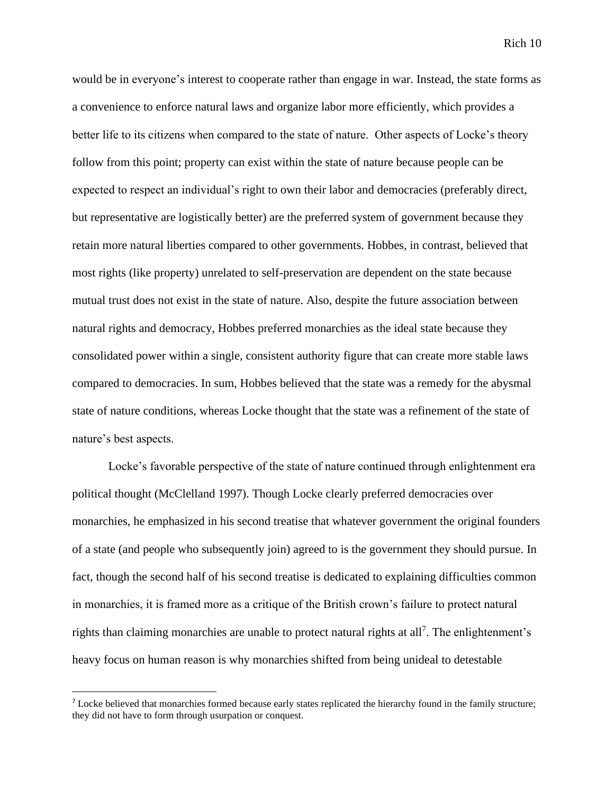would be in everyone's interest to cooperate rather than engage in war. Instead, the state forms as a convenience to enforce natural laws and organize labor more efficiently, which provides a better life to its citizens when compared to the state of nature. Other aspects of Locke's theory follow from this point; property can exist within the state of nature because people can be expected to respect an individual's right to own their labor and democracies (preferably direct, but representative are logistically better) are the preferred system of government because they retain more natural liberties compared to other governments. Hobbes, in contrast, believed that most rights (like property) unrelated to self-preservation are dependent on the state because mutual trust does not exist in the state of nature. Also, despite the future association between natural rights and democracy, Hobbes preferred monarchies as the ideal state because they consolidated power within a single, consistent authority figure that can create more stable laws compared to democracies. In sum, Hobbes believed that the state was a remedy for the abysmal state of nature conditions, whereas Locke thought that the state was a refinement of the state of nature's best aspects.

Locke's favorable perspective of the state of nature continued through enlightenment era political thought (McClelland 1997). Though Locke clearly preferred democracies over monarchies, he emphasized in his second treatise that whatever government the original founders of a state (and people who subsequently join) agreed to is the government they should pursue. In fact, though the second half of his second treatise is dedicated to explaining difficulties common in monarchies, it is framed more as a critique of the British crown's failure to protect natural rights than claiming monarchies are unable to protect natural rights at all<sup>7</sup>. The enlightenment's heavy focus on human reason is why monarchies shifted from being unideal to detestable

<sup>&</sup>lt;sup>7</sup> Locke believed that monarchies formed because early states replicated the hierarchy found in the family structure; they did not have to form through usurpation or conquest.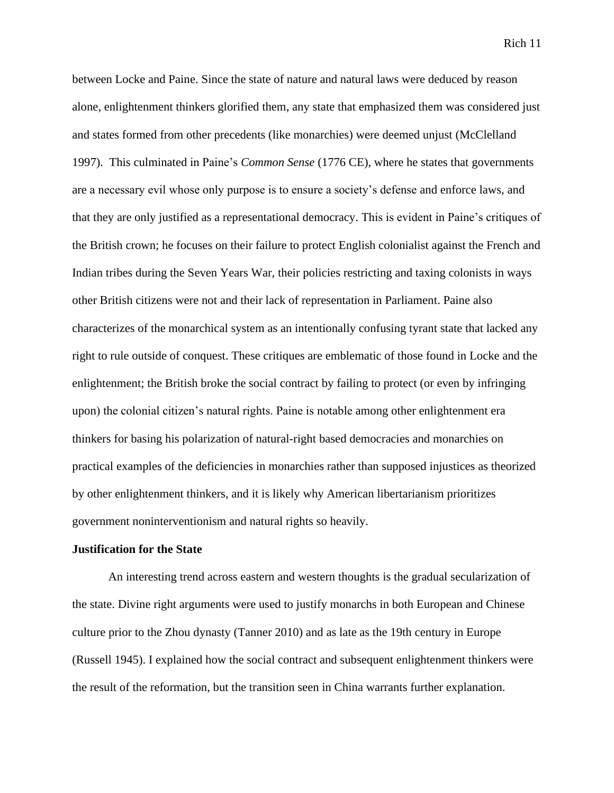between Locke and Paine. Since the state of nature and natural laws were deduced by reason alone, enlightenment thinkers glorified them, any state that emphasized them was considered just and states formed from other precedents (like monarchies) were deemed unjust (McClelland 1997). This culminated in Paine's *Common Sense* (1776 CE), where he states that governments are a necessary evil whose only purpose is to ensure a society's defense and enforce laws, and that they are only justified as a representational democracy. This is evident in Paine's critiques of the British crown; he focuses on their failure to protect English colonialist against the French and Indian tribes during the Seven Years War, their policies restricting and taxing colonists in ways other British citizens were not and their lack of representation in Parliament. Paine also characterizes of the monarchical system as an intentionally confusing tyrant state that lacked any right to rule outside of conquest. These critiques are emblematic of those found in Locke and the enlightenment; the British broke the social contract by failing to protect (or even by infringing upon) the colonial citizen's natural rights. Paine is notable among other enlightenment era thinkers for basing his polarization of natural-right based democracies and monarchies on practical examples of the deficiencies in monarchies rather than supposed injustices as theorized by other enlightenment thinkers, and it is likely why American libertarianism prioritizes government noninterventionism and natural rights so heavily.

#### **Justification for the State**

An interesting trend across eastern and western thoughts is the gradual secularization of the state. Divine right arguments were used to justify monarchs in both European and Chinese culture prior to the Zhou dynasty (Tanner 2010) and as late as the 19th century in Europe (Russell 1945). I explained how the social contract and subsequent enlightenment thinkers were the result of the reformation, but the transition seen in China warrants further explanation.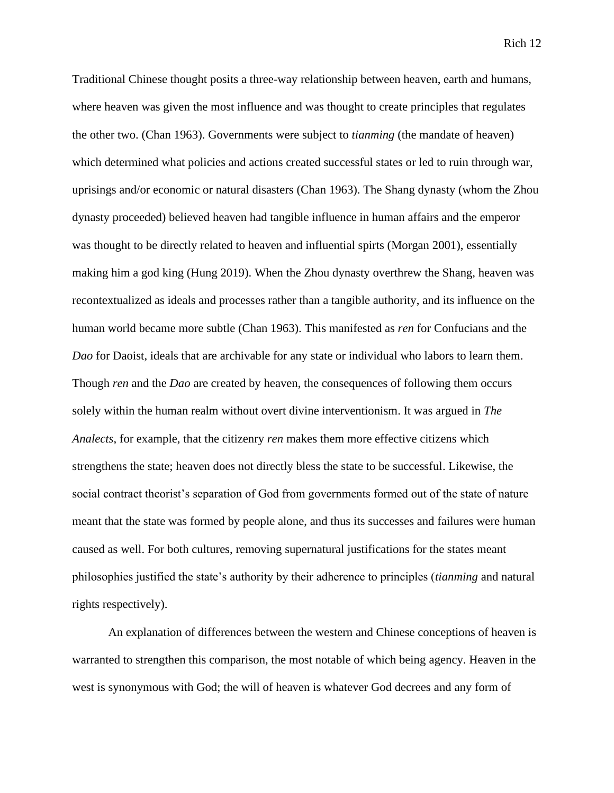Traditional Chinese thought posits a three-way relationship between heaven, earth and humans, where heaven was given the most influence and was thought to create principles that regulates the other two. (Chan 1963). Governments were subject to *tianming* (the mandate of heaven) which determined what policies and actions created successful states or led to ruin through war, uprisings and/or economic or natural disasters (Chan 1963). The Shang dynasty (whom the Zhou dynasty proceeded) believed heaven had tangible influence in human affairs and the emperor was thought to be directly related to heaven and influential spirts (Morgan 2001), essentially making him a god king (Hung 2019). When the Zhou dynasty overthrew the Shang, heaven was recontextualized as ideals and processes rather than a tangible authority, and its influence on the human world became more subtle (Chan 1963). This manifested as *ren* for Confucians and the *Dao* for Daoist, ideals that are archivable for any state or individual who labors to learn them. Though *ren* and the *Dao* are created by heaven, the consequences of following them occurs solely within the human realm without overt divine interventionism. It was argued in *The Analects*, for example, that the citizenry *ren* makes them more effective citizens which strengthens the state; heaven does not directly bless the state to be successful. Likewise, the social contract theorist's separation of God from governments formed out of the state of nature meant that the state was formed by people alone, and thus its successes and failures were human caused as well. For both cultures, removing supernatural justifications for the states meant philosophies justified the state's authority by their adherence to principles (*tianming* and natural rights respectively).

An explanation of differences between the western and Chinese conceptions of heaven is warranted to strengthen this comparison, the most notable of which being agency. Heaven in the west is synonymous with God; the will of heaven is whatever God decrees and any form of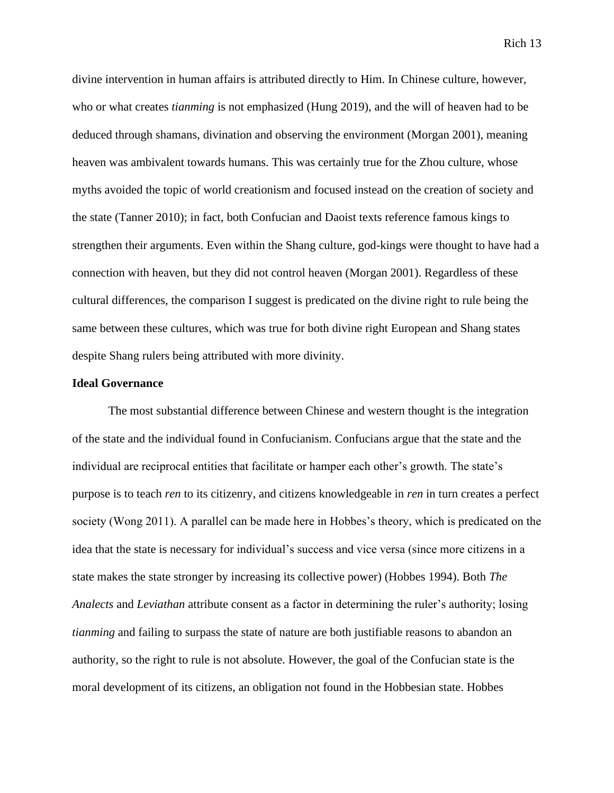divine intervention in human affairs is attributed directly to Him. In Chinese culture, however, who or what creates *tianming* is not emphasized (Hung 2019), and the will of heaven had to be deduced through shamans, divination and observing the environment (Morgan 2001), meaning heaven was ambivalent towards humans. This was certainly true for the Zhou culture, whose myths avoided the topic of world creationism and focused instead on the creation of society and the state (Tanner 2010); in fact, both Confucian and Daoist texts reference famous kings to strengthen their arguments. Even within the Shang culture, god-kings were thought to have had a connection with heaven, but they did not control heaven (Morgan 2001). Regardless of these cultural differences, the comparison I suggest is predicated on the divine right to rule being the same between these cultures, which was true for both divine right European and Shang states despite Shang rulers being attributed with more divinity.

#### **Ideal Governance**

The most substantial difference between Chinese and western thought is the integration of the state and the individual found in Confucianism. Confucians argue that the state and the individual are reciprocal entities that facilitate or hamper each other's growth. The state's purpose is to teach *ren* to its citizenry, and citizens knowledgeable in *ren* in turn creates a perfect society (Wong 2011). A parallel can be made here in Hobbes's theory, which is predicated on the idea that the state is necessary for individual's success and vice versa (since more citizens in a state makes the state stronger by increasing its collective power) (Hobbes 1994). Both *The Analects* and *Leviathan* attribute consent as a factor in determining the ruler's authority; losing *tianming* and failing to surpass the state of nature are both justifiable reasons to abandon an authority, so the right to rule is not absolute. However, the goal of the Confucian state is the moral development of its citizens, an obligation not found in the Hobbesian state. Hobbes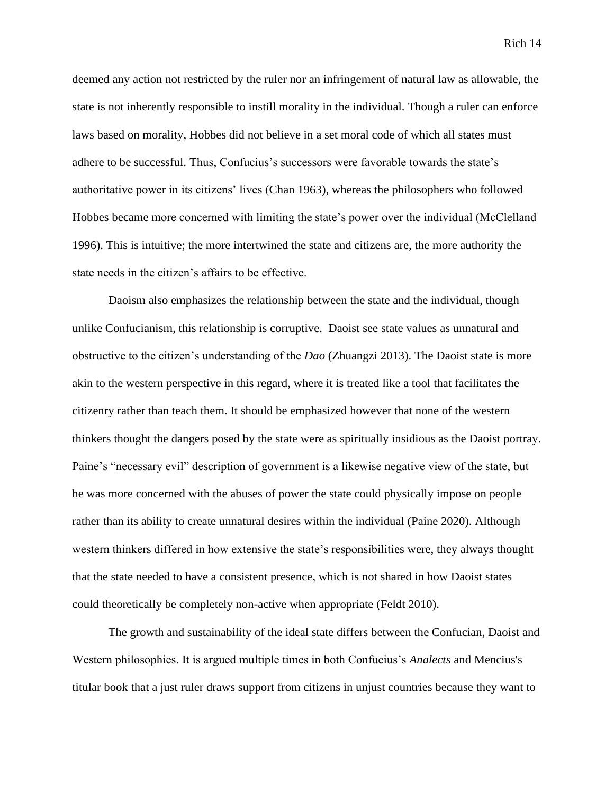deemed any action not restricted by the ruler nor an infringement of natural law as allowable, the state is not inherently responsible to instill morality in the individual. Though a ruler can enforce laws based on morality, Hobbes did not believe in a set moral code of which all states must adhere to be successful. Thus, Confucius's successors were favorable towards the state's authoritative power in its citizens' lives (Chan 1963), whereas the philosophers who followed Hobbes became more concerned with limiting the state's power over the individual (McClelland 1996). This is intuitive; the more intertwined the state and citizens are, the more authority the state needs in the citizen's affairs to be effective.

Daoism also emphasizes the relationship between the state and the individual, though unlike Confucianism, this relationship is corruptive. Daoist see state values as unnatural and obstructive to the citizen's understanding of the *Dao* (Zhuangzi 2013). The Daoist state is more akin to the western perspective in this regard, where it is treated like a tool that facilitates the citizenry rather than teach them. It should be emphasized however that none of the western thinkers thought the dangers posed by the state were as spiritually insidious as the Daoist portray. Paine's "necessary evil" description of government is a likewise negative view of the state, but he was more concerned with the abuses of power the state could physically impose on people rather than its ability to create unnatural desires within the individual (Paine 2020). Although western thinkers differed in how extensive the state's responsibilities were, they always thought that the state needed to have a consistent presence, which is not shared in how Daoist states could theoretically be completely non-active when appropriate (Feldt 2010).

The growth and sustainability of the ideal state differs between the Confucian, Daoist and Western philosophies. It is argued multiple times in both Confucius's *Analects* and Mencius's titular book that a just ruler draws support from citizens in unjust countries because they want to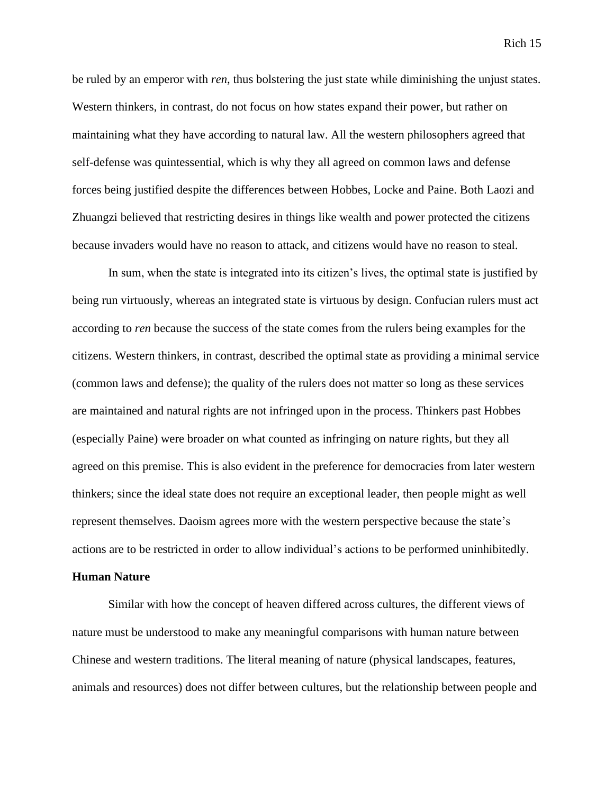be ruled by an emperor with *ren*, thus bolstering the just state while diminishing the unjust states. Western thinkers, in contrast, do not focus on how states expand their power, but rather on maintaining what they have according to natural law. All the western philosophers agreed that self-defense was quintessential, which is why they all agreed on common laws and defense forces being justified despite the differences between Hobbes, Locke and Paine. Both Laozi and Zhuangzi believed that restricting desires in things like wealth and power protected the citizens because invaders would have no reason to attack, and citizens would have no reason to steal.

In sum, when the state is integrated into its citizen's lives, the optimal state is justified by being run virtuously, whereas an integrated state is virtuous by design. Confucian rulers must act according to *ren* because the success of the state comes from the rulers being examples for the citizens. Western thinkers, in contrast, described the optimal state as providing a minimal service (common laws and defense); the quality of the rulers does not matter so long as these services are maintained and natural rights are not infringed upon in the process. Thinkers past Hobbes (especially Paine) were broader on what counted as infringing on nature rights, but they all agreed on this premise. This is also evident in the preference for democracies from later western thinkers; since the ideal state does not require an exceptional leader, then people might as well represent themselves. Daoism agrees more with the western perspective because the state's actions are to be restricted in order to allow individual's actions to be performed uninhibitedly.

#### **Human Nature**

Similar with how the concept of heaven differed across cultures, the different views of nature must be understood to make any meaningful comparisons with human nature between Chinese and western traditions. The literal meaning of nature (physical landscapes, features, animals and resources) does not differ between cultures, but the relationship between people and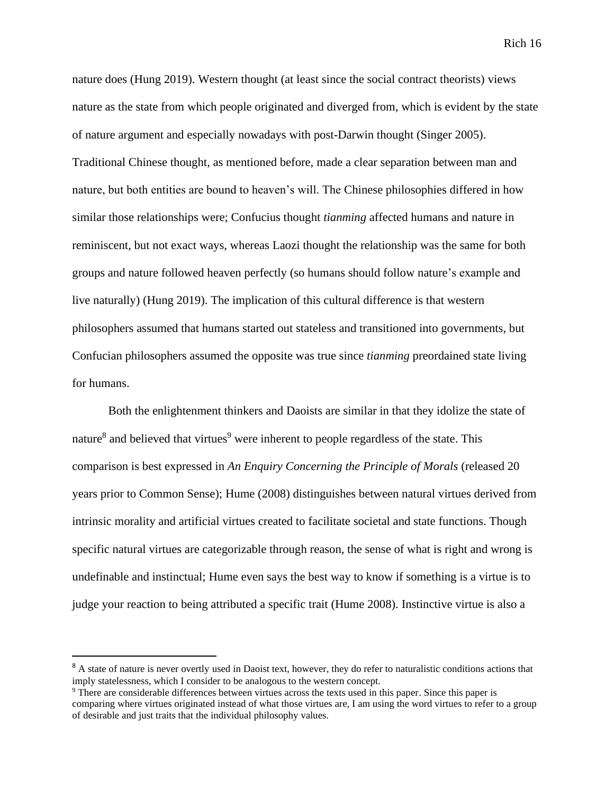nature does (Hung 2019). Western thought (at least since the social contract theorists) views nature as the state from which people originated and diverged from, which is evident by the state of nature argument and especially nowadays with post-Darwin thought (Singer 2005). Traditional Chinese thought, as mentioned before, made a clear separation between man and nature, but both entities are bound to heaven's will. The Chinese philosophies differed in how similar those relationships were; Confucius thought *tianming* affected humans and nature in reminiscent, but not exact ways, whereas Laozi thought the relationship was the same for both groups and nature followed heaven perfectly (so humans should follow nature's example and live naturally) (Hung 2019). The implication of this cultural difference is that western philosophers assumed that humans started out stateless and transitioned into governments, but Confucian philosophers assumed the opposite was true since *tianming* preordained state living for humans.

Both the enlightenment thinkers and Daoists are similar in that they idolize the state of nature<sup>8</sup> and believed that virtues<sup>9</sup> were inherent to people regardless of the state. This comparison is best expressed in *An Enquiry Concerning the Principle of Morals* (released 20 years prior to Common Sense); Hume (2008) distinguishes between natural virtues derived from intrinsic morality and artificial virtues created to facilitate societal and state functions. Though specific natural virtues are categorizable through reason, the sense of what is right and wrong is undefinable and instinctual; Hume even says the best way to know if something is a virtue is to judge your reaction to being attributed a specific trait (Hume 2008). Instinctive virtue is also a

<sup>&</sup>lt;sup>8</sup> A state of nature is never overtly used in Daoist text, however, they do refer to naturalistic conditions actions that imply statelessness, which I consider to be analogous to the western concept.

<sup>9</sup> There are considerable differences between virtues across the texts used in this paper. Since this paper is comparing where virtues originated instead of what those virtues are, I am using the word virtues to refer to a group of desirable and just traits that the individual philosophy values.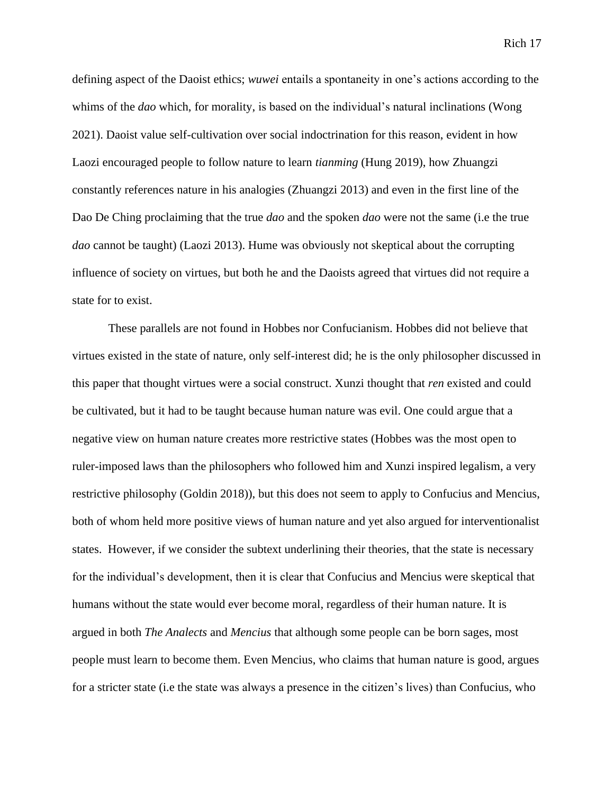defining aspect of the Daoist ethics; *wuwei* entails a spontaneity in one's actions according to the whims of the *dao* which, for morality, is based on the individual's natural inclinations (Wong 2021). Daoist value self-cultivation over social indoctrination for this reason, evident in how Laozi encouraged people to follow nature to learn *tianming* (Hung 2019), how Zhuangzi constantly references nature in his analogies (Zhuangzi 2013) and even in the first line of the Dao De Ching proclaiming that the true *dao* and the spoken *dao* were not the same (i.e the true *dao* cannot be taught) (Laozi 2013). Hume was obviously not skeptical about the corrupting influence of society on virtues, but both he and the Daoists agreed that virtues did not require a state for to exist.

These parallels are not found in Hobbes nor Confucianism. Hobbes did not believe that virtues existed in the state of nature, only self-interest did; he is the only philosopher discussed in this paper that thought virtues were a social construct. Xunzi thought that *ren* existed and could be cultivated, but it had to be taught because human nature was evil. One could argue that a negative view on human nature creates more restrictive states (Hobbes was the most open to ruler-imposed laws than the philosophers who followed him and Xunzi inspired legalism, a very restrictive philosophy (Goldin 2018)), but this does not seem to apply to Confucius and Mencius, both of whom held more positive views of human nature and yet also argued for interventionalist states. However, if we consider the subtext underlining their theories, that the state is necessary for the individual's development, then it is clear that Confucius and Mencius were skeptical that humans without the state would ever become moral, regardless of their human nature. It is argued in both *The Analects* and *Mencius* that although some people can be born sages, most people must learn to become them. Even Mencius, who claims that human nature is good, argues for a stricter state (i.e the state was always a presence in the citizen's lives) than Confucius, who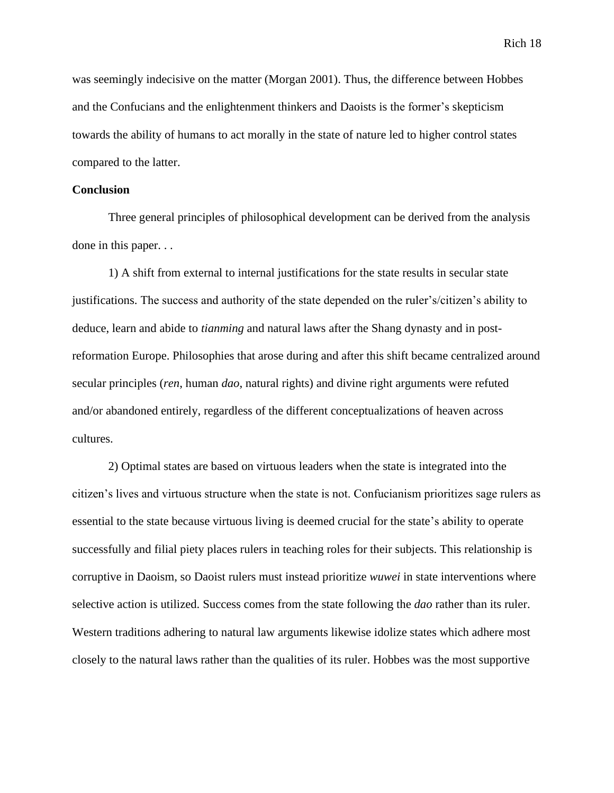was seemingly indecisive on the matter (Morgan 2001). Thus, the difference between Hobbes and the Confucians and the enlightenment thinkers and Daoists is the former's skepticism towards the ability of humans to act morally in the state of nature led to higher control states compared to the latter.

#### **Conclusion**

Three general principles of philosophical development can be derived from the analysis done in this paper. . .

1) A shift from external to internal justifications for the state results in secular state justifications. The success and authority of the state depended on the ruler's/citizen's ability to deduce, learn and abide to *tianming* and natural laws after the Shang dynasty and in postreformation Europe. Philosophies that arose during and after this shift became centralized around secular principles (*ren*, human *dao*, natural rights) and divine right arguments were refuted and/or abandoned entirely, regardless of the different conceptualizations of heaven across cultures.

2) Optimal states are based on virtuous leaders when the state is integrated into the citizen's lives and virtuous structure when the state is not. Confucianism prioritizes sage rulers as essential to the state because virtuous living is deemed crucial for the state's ability to operate successfully and filial piety places rulers in teaching roles for their subjects. This relationship is corruptive in Daoism, so Daoist rulers must instead prioritize *wuwei* in state interventions where selective action is utilized. Success comes from the state following the *dao* rather than its ruler. Western traditions adhering to natural law arguments likewise idolize states which adhere most closely to the natural laws rather than the qualities of its ruler. Hobbes was the most supportive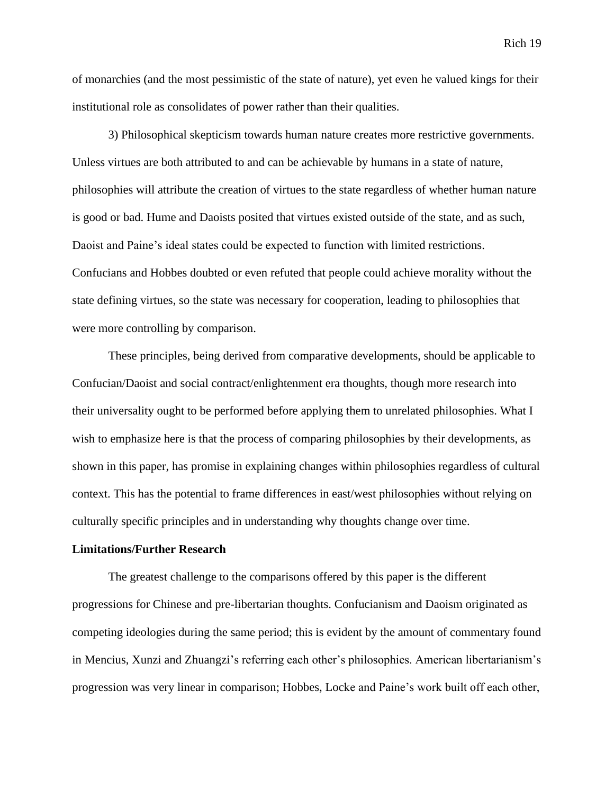of monarchies (and the most pessimistic of the state of nature), yet even he valued kings for their institutional role as consolidates of power rather than their qualities.

3) Philosophical skepticism towards human nature creates more restrictive governments. Unless virtues are both attributed to and can be achievable by humans in a state of nature, philosophies will attribute the creation of virtues to the state regardless of whether human nature is good or bad. Hume and Daoists posited that virtues existed outside of the state, and as such, Daoist and Paine's ideal states could be expected to function with limited restrictions. Confucians and Hobbes doubted or even refuted that people could achieve morality without the state defining virtues, so the state was necessary for cooperation, leading to philosophies that were more controlling by comparison.

These principles, being derived from comparative developments, should be applicable to Confucian/Daoist and social contract/enlightenment era thoughts, though more research into their universality ought to be performed before applying them to unrelated philosophies. What I wish to emphasize here is that the process of comparing philosophies by their developments, as shown in this paper, has promise in explaining changes within philosophies regardless of cultural context. This has the potential to frame differences in east/west philosophies without relying on culturally specific principles and in understanding why thoughts change over time.

#### **Limitations/Further Research**

The greatest challenge to the comparisons offered by this paper is the different progressions for Chinese and pre-libertarian thoughts. Confucianism and Daoism originated as competing ideologies during the same period; this is evident by the amount of commentary found in Mencius, Xunzi and Zhuangzi's referring each other's philosophies. American libertarianism's progression was very linear in comparison; Hobbes, Locke and Paine's work built off each other,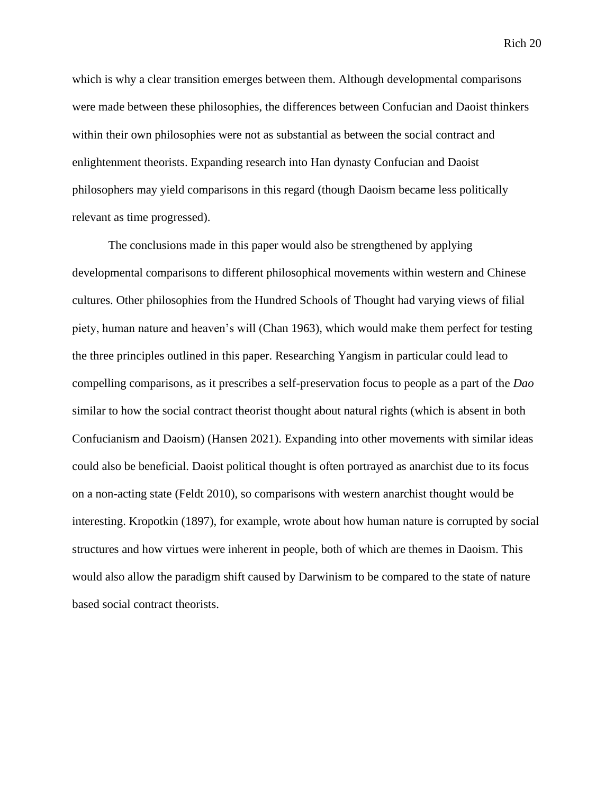which is why a clear transition emerges between them. Although developmental comparisons were made between these philosophies, the differences between Confucian and Daoist thinkers within their own philosophies were not as substantial as between the social contract and enlightenment theorists. Expanding research into Han dynasty Confucian and Daoist philosophers may yield comparisons in this regard (though Daoism became less politically relevant as time progressed).

The conclusions made in this paper would also be strengthened by applying developmental comparisons to different philosophical movements within western and Chinese cultures. Other philosophies from the Hundred Schools of Thought had varying views of filial piety, human nature and heaven's will (Chan 1963), which would make them perfect for testing the three principles outlined in this paper. Researching Yangism in particular could lead to compelling comparisons, as it prescribes a self-preservation focus to people as a part of the *Dao* similar to how the social contract theorist thought about natural rights (which is absent in both Confucianism and Daoism) (Hansen 2021). Expanding into other movements with similar ideas could also be beneficial. Daoist political thought is often portrayed as anarchist due to its focus on a non-acting state (Feldt 2010), so comparisons with western anarchist thought would be interesting. Kropotkin (1897), for example, wrote about how human nature is corrupted by social structures and how virtues were inherent in people, both of which are themes in Daoism. This would also allow the paradigm shift caused by Darwinism to be compared to the state of nature based social contract theorists.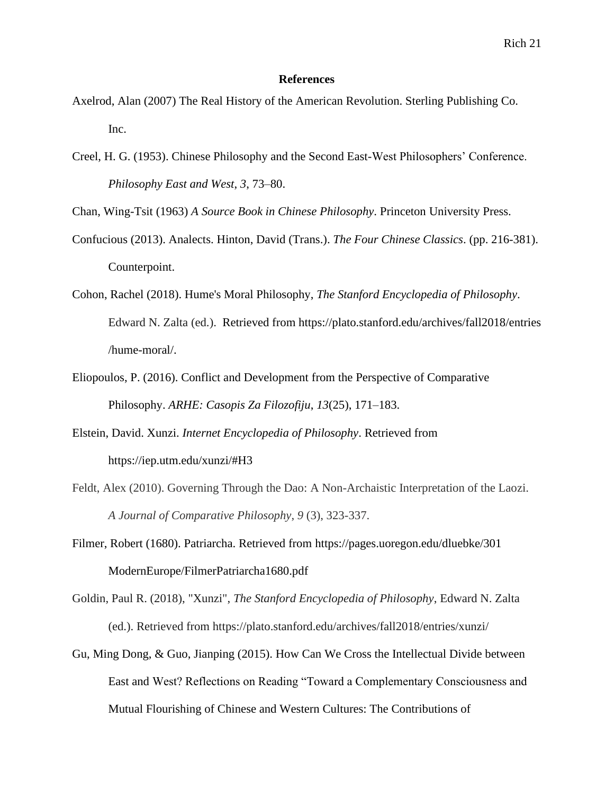#### **References**

- Axelrod, Alan (2007) The Real History of the American Revolution. Sterling Publishing Co. Inc.
- Creel, H. G. (1953). Chinese Philosophy and the Second East-West Philosophers' Conference. *Philosophy East and West*, *3*, 73–80.

Chan, Wing-Tsit (1963) *A Source Book in Chinese Philosophy*. Princeton University Press.

- Confucious (2013). Analects. Hinton, David (Trans.). *The Four Chinese Classics*. (pp. 216-381). Counterpoint.
- Cohon, Rachel (2018). Hume's Moral Philosophy, *The Stanford Encyclopedia of Philosophy*. Edward N. Zalta (ed.). Retrieved from https://plato.stanford.edu/archives/fall2018/entries /hume-moral/.
- Eliopoulos, P. (2016). Conflict and Development from the Perspective of Comparative Philosophy. *ARHE: Casopis Za Filozofiju*, *13*(25), 171–183.
- Elstein, David. Xunzi. *Internet Encyclopedia of Philosophy*. Retrieved from https://iep.utm.edu/xunzi/#H3
- Feldt, Alex (2010). Governing Through the Dao: A Non-Archaistic Interpretation of the Laozi. *A Journal of Comparative Philosophy*, *9* (3), 323-337.
- Filmer, Robert (1680). Patriarcha. Retrieved from https://pages.uoregon.edu/dluebke/301 ModernEurope/FilmerPatriarcha1680.pdf
- Goldin, Paul R. (2018), "Xunzi", *The Stanford Encyclopedia of Philosophy*, Edward N. Zalta (ed.). Retrieved from https://plato.stanford.edu/archives/fall2018/entries/xunzi/
- Gu, Ming Dong, & Guo, Jianping (2015). How Can We Cross the Intellectual Divide between East and West? Reflections on Reading "Toward a Complementary Consciousness and Mutual Flourishing of Chinese and Western Cultures: The Contributions of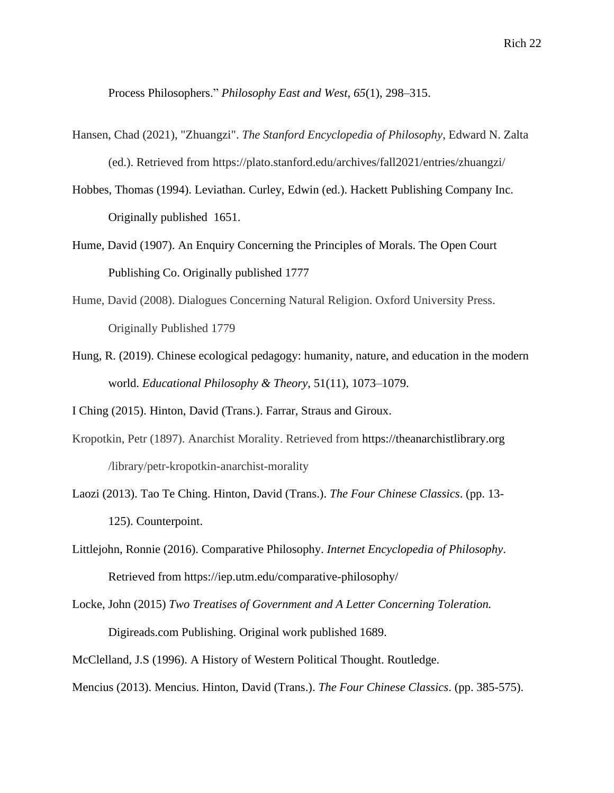Process Philosophers." *Philosophy East and West*, *65*(1), 298–315.

- Hansen, Chad (2021), "Zhuangzi". *The Stanford Encyclopedia of Philosophy*, Edward N. Zalta (ed.). Retrieved from https://plato.stanford.edu/archives/fall2021/entries/zhuangzi/
- Hobbes, Thomas (1994). Leviathan. Curley, Edwin (ed.). Hackett Publishing Company Inc. Originally published 1651.
- Hume, David (1907). An Enquiry Concerning the Principles of Morals. The Open Court Publishing Co. Originally published 1777
- Hume, David (2008). Dialogues Concerning Natural Religion. Oxford University Press. Originally Published 1779
- Hung, R. (2019). Chinese ecological pedagogy: humanity, nature, and education in the modern world. *Educational Philosophy & Theory*, 51(11), 1073–1079.

I Ching (2015). Hinton, David (Trans.). Farrar, Straus and Giroux.

- Kropotkin, Petr (1897). Anarchist Morality. Retrieved from https://theanarchistlibrary.org /library/petr-kropotkin-anarchist-morality
- Laozi (2013). Tao Te Ching. Hinton, David (Trans.). *The Four Chinese Classics*. (pp. 13- 125). Counterpoint.
- Littlejohn, Ronnie (2016). Comparative Philosophy. *Internet Encyclopedia of Philosophy*. Retrieved from https://iep.utm.edu/comparative-philosophy/
- Locke, John (2015) *Two Treatises of Government and A Letter Concerning Toleration.* Digireads.com Publishing. Original work published 1689.

McClelland, J.S (1996). A History of Western Political Thought. Routledge.

Mencius (2013). Mencius. Hinton, David (Trans.). *The Four Chinese Classics*. (pp. 385-575).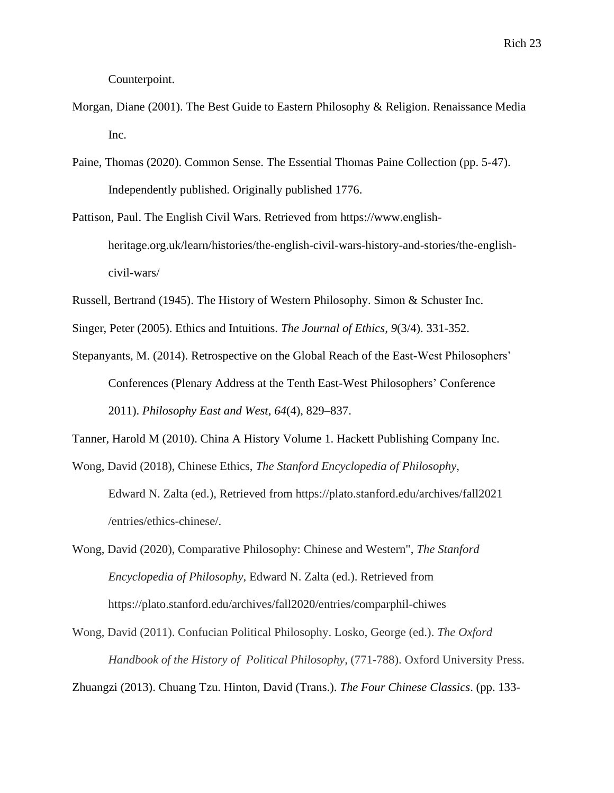Counterpoint.

- Morgan, Diane (2001). The Best Guide to Eastern Philosophy & Religion. Renaissance Media Inc.
- Paine, Thomas (2020). Common Sense. The Essential Thomas Paine Collection (pp. 5-47). Independently published. Originally published 1776.
- Pattison, Paul. The English Civil Wars. Retrieved from https://www.englishheritage.org.uk/learn/histories/the-english-civil-wars-history-and-stories/the-englishcivil-wars/
- Russell, Bertrand (1945). The History of Western Philosophy. Simon & Schuster Inc.
- Singer, Peter (2005). Ethics and Intuitions. *The Journal of Ethics, 9*(3/4). 331-352.
- Stepanyants, M. (2014). Retrospective on the Global Reach of the East-West Philosophers' Conferences (Plenary Address at the Tenth East-West Philosophers' Conference 2011). *Philosophy East and West*, *64*(4), 829–837.
- Tanner, Harold M (2010). China A History Volume 1. Hackett Publishing Company Inc.
- Wong, David (2018), Chinese Ethics, *The Stanford Encyclopedia of Philosophy*, Edward N. Zalta (ed.), Retrieved from https://plato.stanford.edu/archives/fall2021 /entries/ethics-chinese/.
- Wong, David (2020), Comparative Philosophy: Chinese and Western", *The Stanford Encyclopedia of Philosophy*, Edward N. Zalta (ed.). Retrieved from https://plato.stanford.edu/archives/fall2020/entries/comparphil-chiwes
- Wong, David (2011). Confucian Political Philosophy. Losko, George (ed.). *The Oxford Handbook of the History of Political Philosophy*, (771-788). Oxford University Press.

Zhuangzi (2013). Chuang Tzu. Hinton, David (Trans.). *The Four Chinese Classics*. (pp. 133-